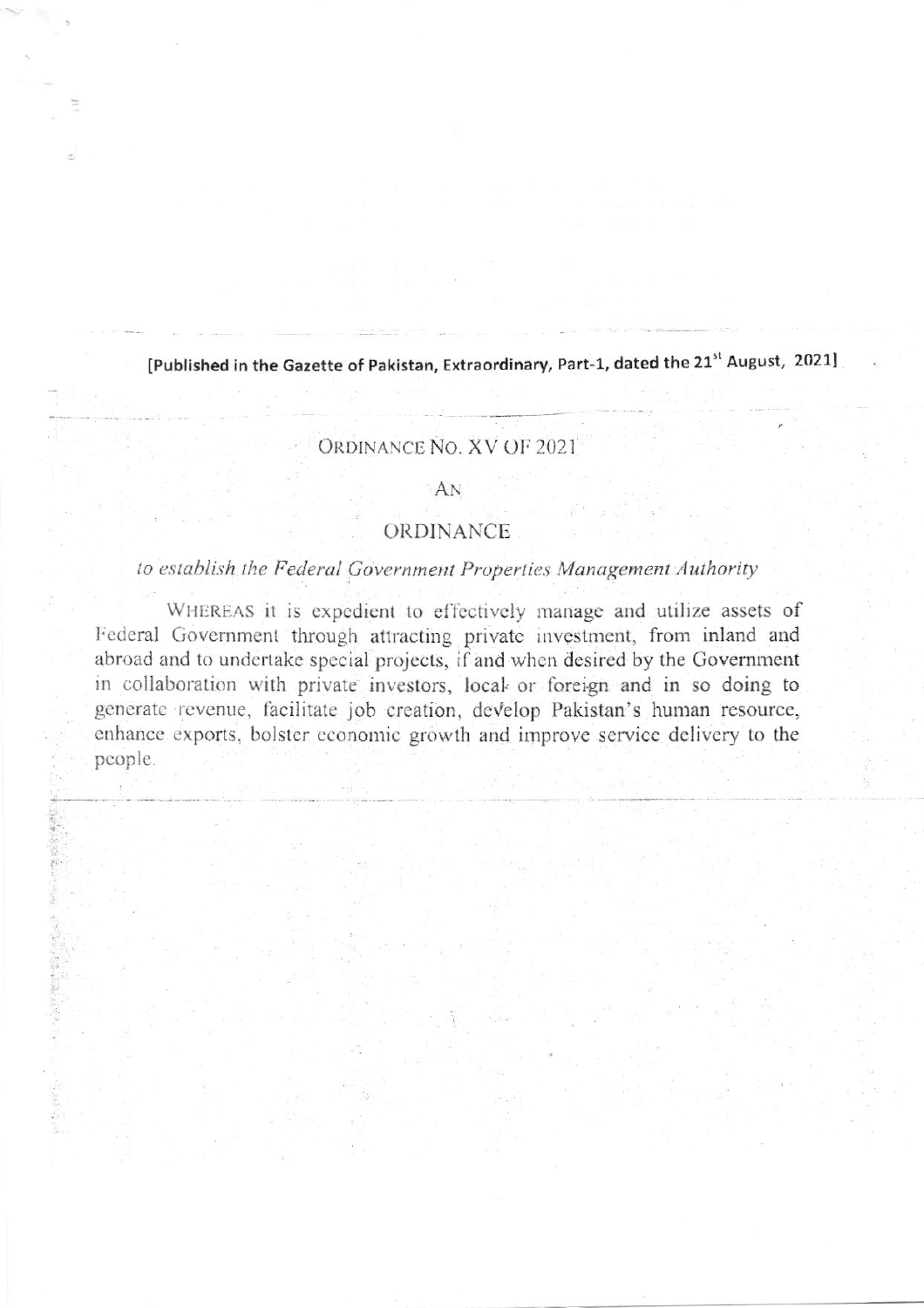[Published in the Gazette of Pakistan, Extraordinary, Part-1, dated the 21st August, 2021]

## ORDINANCE NO. XV OF 2021

## AN

## ORDINANCE

## to establish the Federal Government Properties Management Authority

WHEREAS it is expedient to effectively manage and utilize assets of Federal Government through attracting private investment, from inland and abroad and to undertake special projects, if and when desired by the Government in collaboration with private investors, local or foreign and in so doing to generate revenue, facilitate job creation, develop Pakistan's human resource, enhance exports, bolster economic growth and improve service delivery to the people.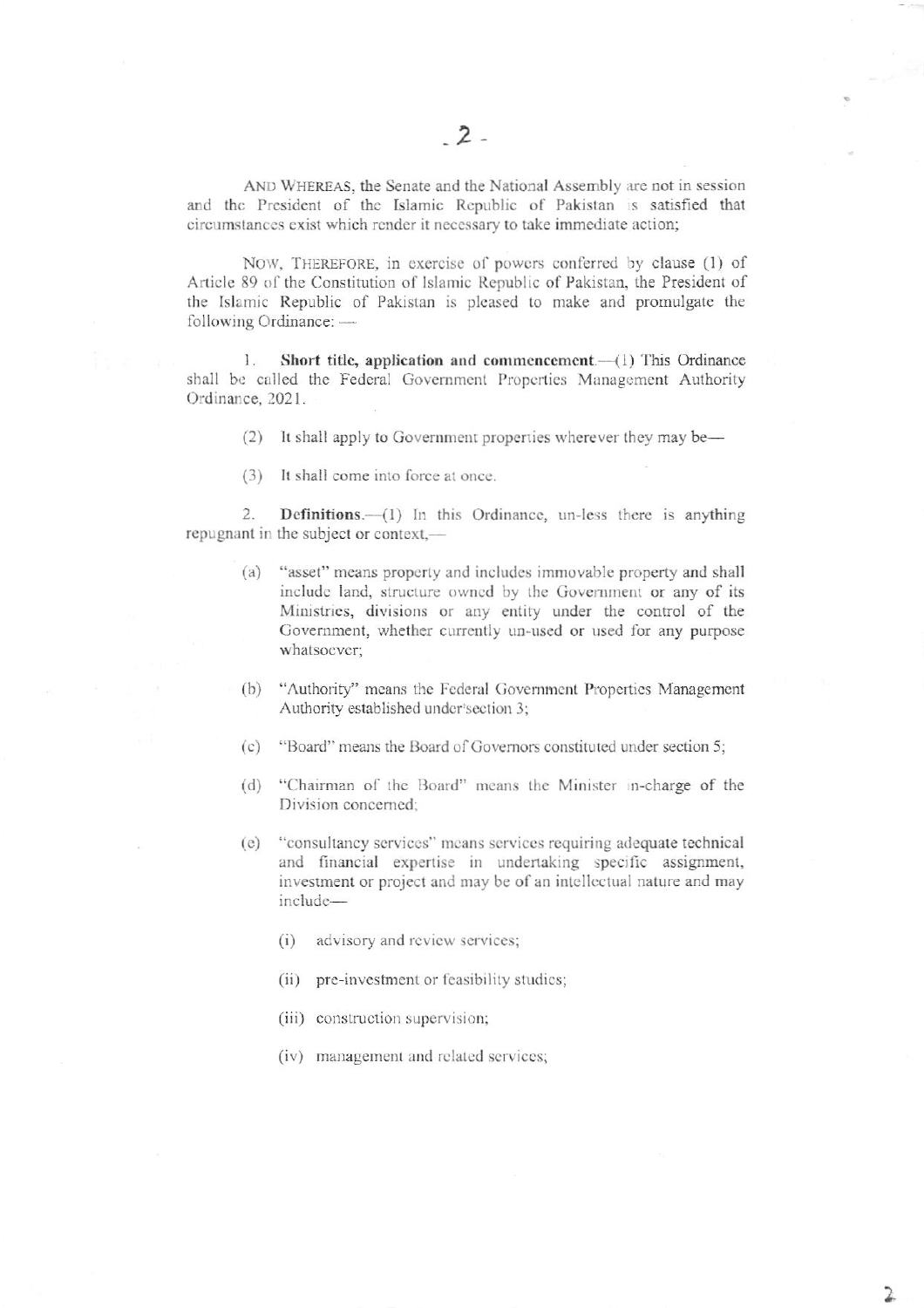AND WHEREAS, the Senate and the National Assembly are not in session and the President of the Islamic Republic of Pakistan is satisfied that circumstances exist which render it necessary to take immediate action;

NOW, THEREFORE, in exercise of powers conferred by clause (1) of Article 89 of the Constitution of Islamic Republic of Pakistan, the President of the Islamic Republic of Pakistan is pleased to make and promulgate the following Ordinance: -

Short title, application and commencement.-- (1) This Ordinance 1. shall be called the Federal Government Properties Management Authority Ordinance, 2021.

- (2) It shall apply to Government properties wherever they may be—
- (3) It shall come into force at once.

Definitions.-(1) In this Ordinance, un-less there is anything  $\overline{2}$ . repugnant in the subject or context,—

- "asset" means property and includes immovable property and shall  $(a)$ include land, structure owned by the Government or any of its Ministries, divisions or any entity under the control of the Government, whether currently un-used or used for any purpose whatsoever;
- "Authority" means the Federal Government Properties Management  $(b)$ Authority established under section 3;
- "Board" means the Board of Governors constituted under section 5;  $(c)$
- "Chairman of the Board" means the Minister in-charge of the  $(d)$ Division concerned:
- "consultancy services" means services requiring adequate technical  $(e)$ and financial expertise in undertaking specific assignment, investment or project and may be of an intellectual nature and may include
	- advisory and review services;  $(i)$
	- (ii) pre-investment or feasibility studies;
	- (iii) construction supervision;
	- (iv) management and related services;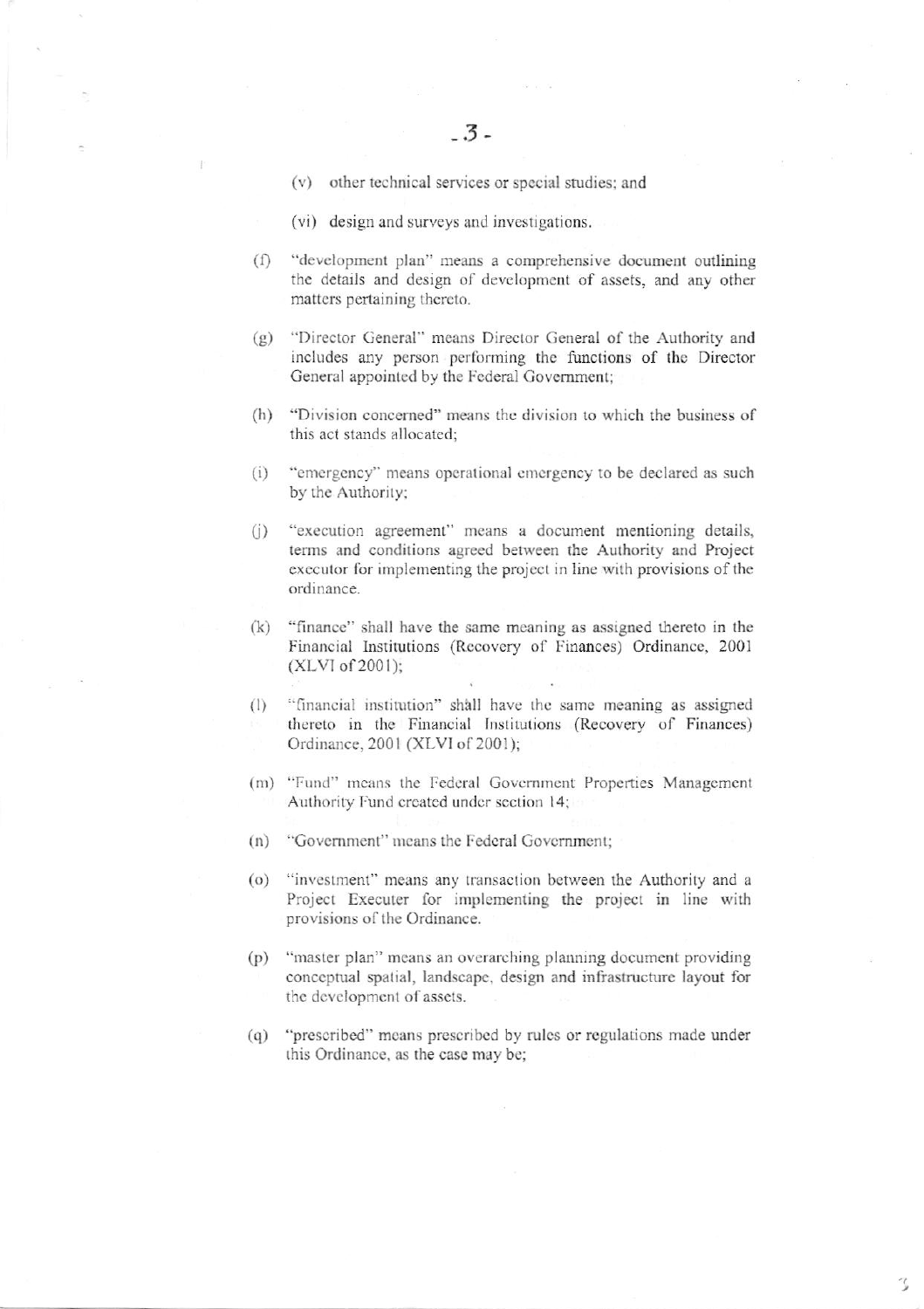- (v) other technical services or special studies; and
- (vi) design and surveys and investigations.
- "development plan" means a comprehensive document outlining  $(f)$ the details and design of development of assets, and any other matters pertaining thereto.
- $(g)$ "Director General" means Director General of the Authority and includes any person performing the functions of the Director General appointed by the Federal Government;
- (h) "Division concerned" means the division to which the business of this act stands allocated:
- "emergency" means operational emergency to be declared as such  $(i)$ by the Authority;
- "execution agreement" means a document mentioning details,  $(i)$ terms and conditions agreed between the Authority and Project executor for implementing the project in line with provisions of the ordinance.
- "finance" shall have the same meaning as assigned thereto in the  $(k)$ Financial Institutions (Recovery of Finances) Ordinance, 2001  $(XLVI of 2001);$
- "financial institution" shall have the same meaning as assigned  $(1)$ thereto in the Financial Institutions (Recovery of Finances) Ordinance, 2001 (XLVI of 2001);
- (m) "Fund" means the Federal Government Properties Management Authority Fund created under section 14;
- (n) "Government" means the Federal Government;
- (o) "investment" means any transaction between the Authority and a Project Executer for implementing the project in line with provisions of the Ordinance.
- "master plan" means an overarching planning document providing  $(p)$ conceptual spatial, landscape, design and infrastructure layout for the development of assets.
- (q) "prescribed" means prescribed by rules or regulations made under this Ordinance, as the case may be;

ر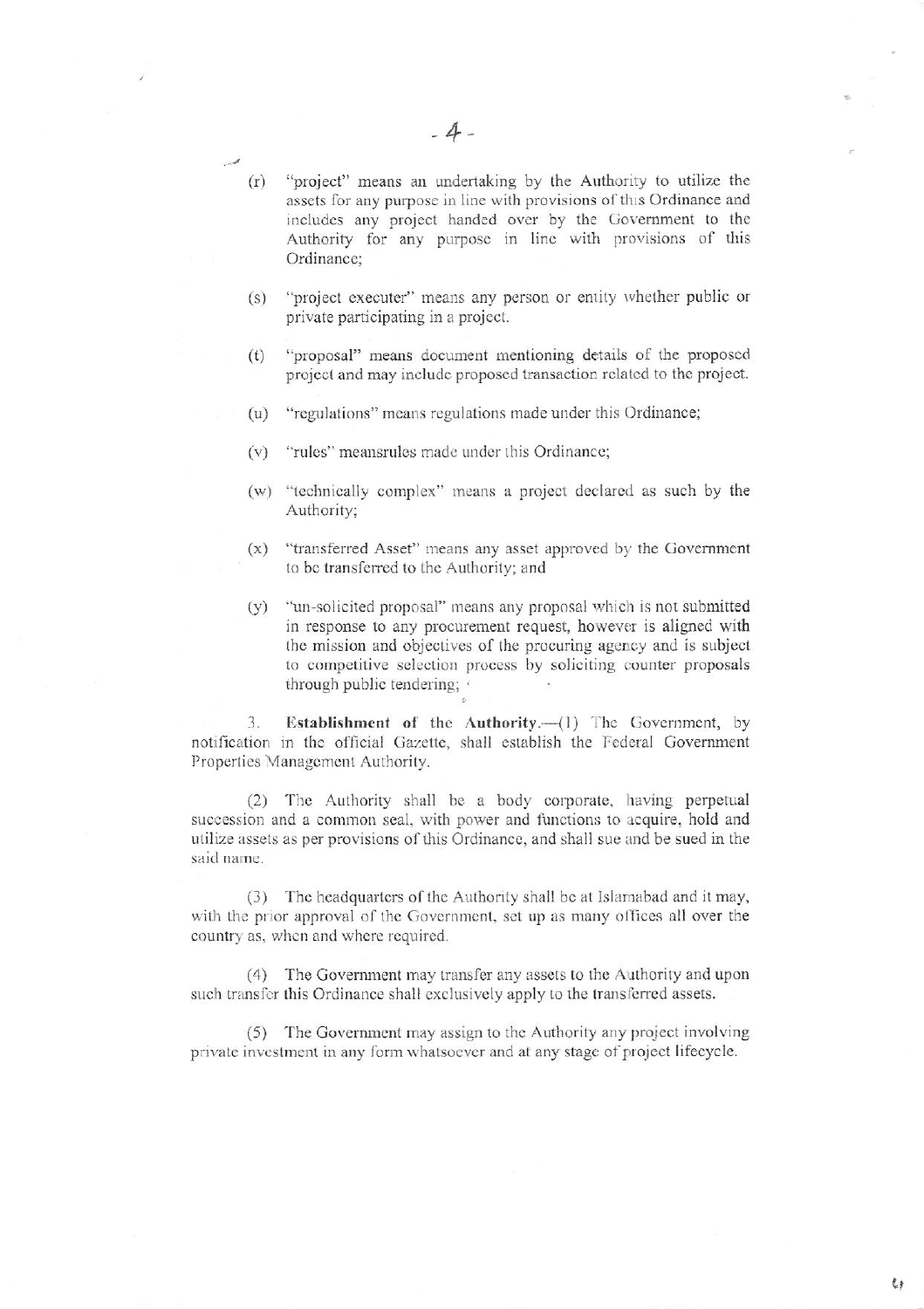- $(r)$ "project" means an undertaking by the Authority to utilize the assets for any purpose in line with provisions of this Ordinance and includes any project handed over by the Government to the Authority for any purpose in line with provisions of this Ordinance:
- "project executer" means any person or entity whether public or  $(s)$ private participating in a project.
- "proposal" means document mentioning details of the proposed  $(t)$ project and may include proposed transaction related to the project.
- (u) "regulations" means regulations made under this Ordinance;
- (v) "rules" meansrules made under this Ordinance;
- (w) "technically complex" means a project declared as such by the Authority;
- "transferred Asset" means any asset approved by the Government  $(x)$ to be transferred to the Authority; and
- "un-solicited proposal" means any proposal which is not submitted  $(y)$ in response to any procurement request, however is aligned with the mission and objectives of the procuring agency and is subject to competitive selection process by soliciting counter proposals through public tendering;

Establishment of the Authority.-(1) The Government, by 3. notification in the official Gazette, shall establish the Federal Government Properties Management Authority.

(2) The Authority shall be a body corporate, having perpetual succession and a common seal, with power and functions to acquire, hold and utilize assets as per provisions of this Ordinance, and shall sue and be sued in the said name.

(3) The headquarters of the Authority shall be at Islamabad and it may, with the prior approval of the Government, set up as many offices all over the country as, when and where required.

(4) The Government may transfer any assets to the Authority and upon such transfer this Ordinance shall exclusively apply to the transferred assets.

(5) The Government may assign to the Authority any project involving private investment in any form whatsoever and at any stage of project lifecycle.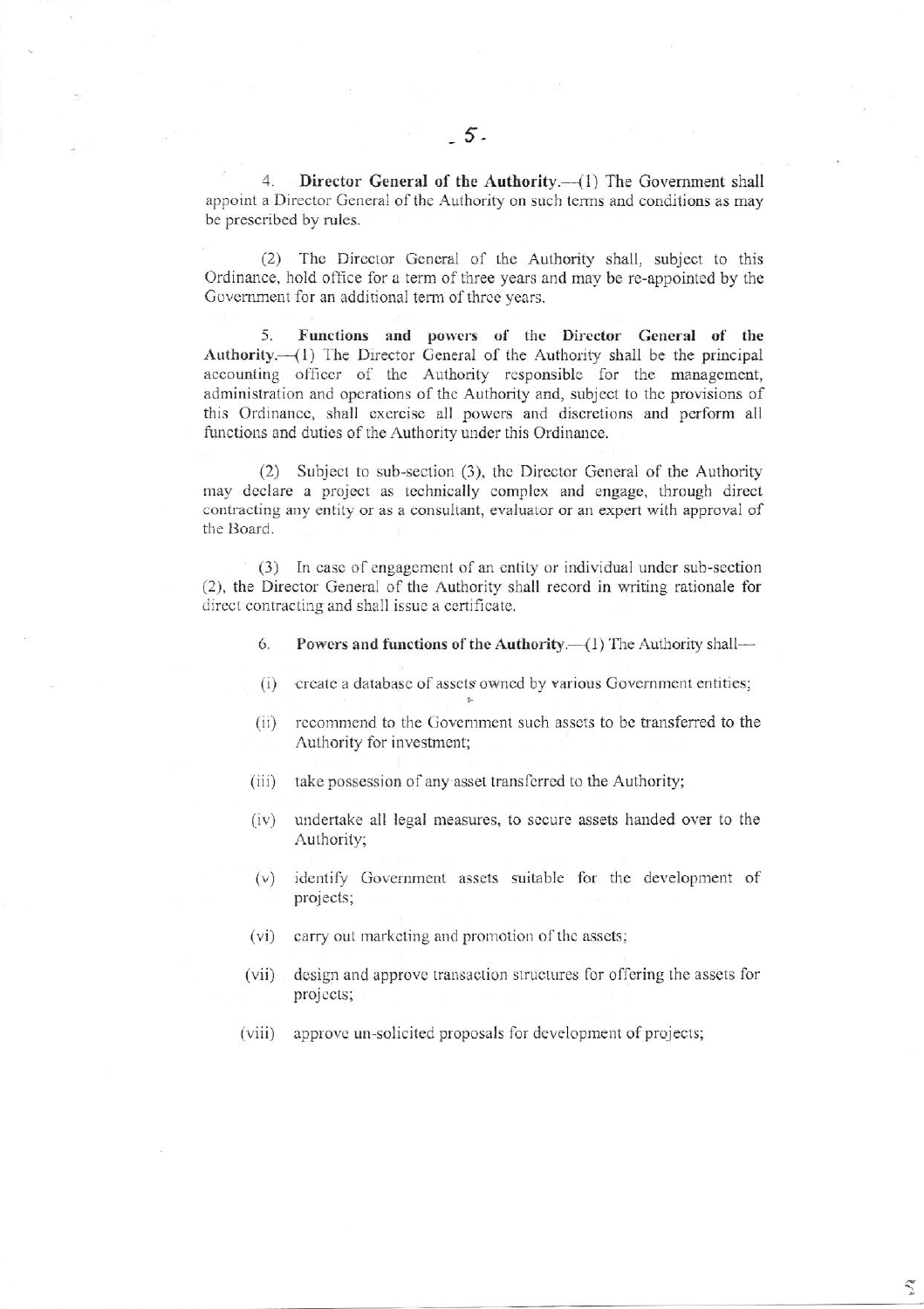4. Director General of the Authority.--(1) The Government shall appoint a Director General of the Authority on such terms and conditions as may be prescribed by rules.

(2) The Director General of the Authority shall, subject to this Ordinance, hold office for a term of three years and may be re-appointed by the Government for an additional term of three years.

5. Functions and powers of the Director General of the Authority.—(1) The Director General of the Authority shall be the principal accounting officer of the Authority responsible for the management, administration and operations of the Authority and, subject to the provisions of this Ordinance, shall exercise all powers and discretions and perform all functions and duties of the Authority under this Ordinance.

(2) Subject to sub-section (3), the Director General of the Authority may declare a project as technically complex and engage, through direct contracting any entity or as a consultant, evaluator or an expert with approval of the Board.

(3) In case of engagement of an entity or individual under sub-section (2), the Director General of the Authority shall record in writing rationale for direct contracting and shall issue a certificate.

- 6. Powers and functions of the Authority.—(1) The Authority shall—
- (i) create a database of assets owned by various Government entities;
- (ii) recommend to the Government such assets to be transferred to the Authority for investment;
- $(iii)$ take possession of any asset transferred to the Authority;
- undertake all legal measures, to secure assets handed over to the  $(iv)$ Authority;
- (v) identify Government assets suitable for the development of projects;
- (vi) carry out marketing and promotion of the assets;
- $(vii)$ design and approve transaction structures for offering the assets for projects;
- $(viii)$ approve un-solicited proposals for development of projects;